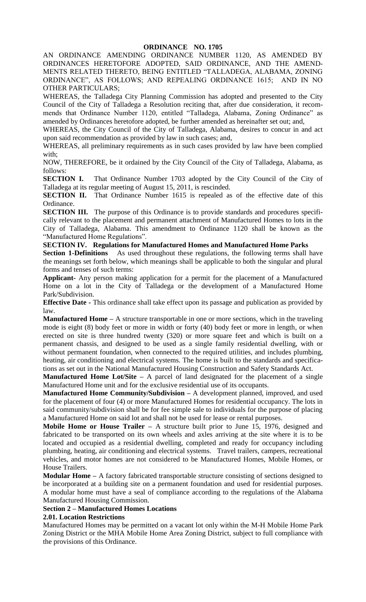AN ORDINANCE AMENDING ORDINANCE NUMBER 1120, AS AMENDED BY ORDINANCES HERETOFORE ADOPTED, SAID ORDINANCE, AND THE AMEND-MENTS RELATED THERETO, BEING ENTITLED "TALLADEGA, ALABAMA, ZONING ORDINANCE", AS FOLLOWS; AND REPEALING ORDINANCE 1615; AND IN NO OTHER PARTICULARS;

WHEREAS, the Talladega City Planning Commission has adopted and presented to the City Council of the City of Talladega a Resolution reciting that, after due consideration, it recommends that Ordinance Number 1120, entitled "Talladega, Alabama, Zoning Ordinance" as amended by Ordinances heretofore adopted, be further amended as hereinafter set out; and,

WHEREAS, the City Council of the City of Talladega, Alabama, desires to concur in and act upon said recommendation as provided by law in such cases; and,

WHEREAS, all preliminary requirements as in such cases provided by law have been complied with;

NOW, THEREFORE, be it ordained by the City Council of the City of Talladega, Alabama, as follows:

**SECTION I.** That Ordinance Number 1703 adopted by the City Council of the City of Talladega at its regular meeting of August 15, 2011, is rescinded.

**SECTION II.** That Ordinance Number 1615 is repealed as of the effective date of this Ordinance.

**SECTION III.** The purpose of this Ordinance is to provide standards and procedures specifically relevant to the placement and permanent attachment of Manufactured Homes to lots in the City of Talladega, Alabama. This amendment to Ordinance 1120 shall be known as the "Manufactured Home Regulations".

### **SECTION IV. Regulations for Manufactured Homes and Manufactured Home Parks**

**Section 1-Definitions** As used throughout these regulations, the following terms shall have the meanings set forth below, which meanings shall be applicable to both the singular and plural forms and tenses of such terms:

**Applicant-** Any person making application for a permit for the placement of a Manufactured Home on a lot in the City of Talladega or the development of a Manufactured Home Park/Subdivision.

**Effective Date -** This ordinance shall take effect upon its passage and publication as provided by law.

**Manufactured Home –** A structure transportable in one or more sections, which in the traveling mode is eight (8) body feet or more in width or forty (40) body feet or more in length, or when erected on site is three hundred twenty (320) or more square feet and which is built on a permanent chassis, and designed to be used as a single family residential dwelling, with or without permanent foundation, when connected to the required utilities, and includes plumbing, heating, air conditioning and electrical systems. The home is built to the standards and specifications as set out in the National Manufactured Housing Construction and Safety Standards Act.

**Manufactured Home Lot/Site –** A parcel of land designated for the placement of a single Manufactured Home unit and for the exclusive residential use of its occupants.

**Manufactured Home Community/Subdivision –** A development planned, improved, and used for the placement of four (4) or more Manufactured Homes for residential occupancy. The lots in said community/subdivision shall be for fee simple sale to individuals for the purpose of placing a Manufactured Home on said lot and shall not be used for lease or rental purposes.

**Mobile Home or House Trailer –** A structure built prior to June 15, 1976, designed and fabricated to be transported on its own wheels and axles arriving at the site where it is to be located and occupied as a residential dwelling, completed and ready for occupancy including plumbing, heating, air conditioning and electrical systems. Travel trailers, campers, recreational vehicles, and motor homes are not considered to be Manufactured Homes, Mobile Homes, or House Trailers.

**Modular Home –** A factory fabricated transportable structure consisting of sections designed to be incorporated at a building site on a permanent foundation and used for residential purposes. A modular home must have a seal of compliance according to the regulations of the Alabama Manufactured Housing Commission.

# **Section 2 – Manufactured Homes Locations**

### **2.01. Location Restrictions**

Manufactured Homes may be permitted on a vacant lot only within the M-H Mobile Home Park Zoning District or the MHA Mobile Home Area Zoning District, subject to full compliance with the provisions of this Ordinance.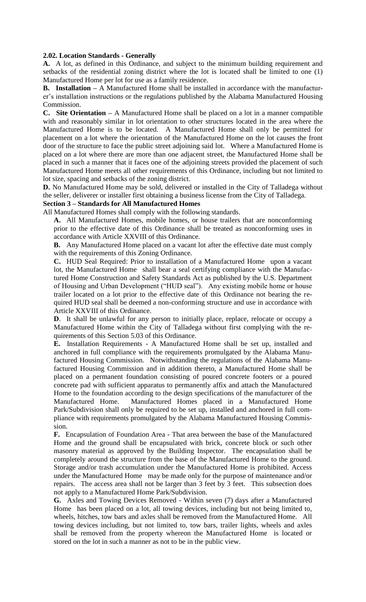### **2.02. Location Standards - Generally**

**A.** A lot, as defined in this Ordinance, and subject to the minimum building requirement and setbacks of the residential zoning district where the lot is located shall be limited to one (1) Manufactured Home per lot for use as a family residence.

**B. Installation –** A Manufactured Home shall be installed in accordance with the manufacturer's installation instructions or the regulations published by the Alabama Manufactured Housing Commission.

**C. Site Orientation –** A Manufactured Home shall be placed on a lot in a manner compatible with and reasonably similar in lot orientation to other structures located in the area where the Manufactured Home is to be located. A Manufactured Home shall only be permitted for placement on a lot where the orientation of the Manufactured Home on the lot causes the front door of the structure to face the public street adjoining said lot. Where a Manufactured Home is placed on a lot where there are more than one adjacent street, the Manufactured Home shall be placed in such a manner that it faces one of the adjoining streets provided the placement of such Manufactured Home meets all other requirements of this Ordinance, including but not limited to lot size, spacing and setbacks of the zoning district.

**D.** No Manufactured Home may be sold, delivered or installed in the City of Talladega without the seller, deliverer or installer first obtaining a business license from the City of Talladega.

# **Section 3 – Standards for All Manufactured Homes**

All Manufactured Homes shall comply with the following standards.

**A.** All Manufactured Homes, mobile homes, or house trailers that are nonconforming prior to the effective date of this Ordinance shall be treated as nonconforming uses in accordance with Article XXVIII of this Ordinance.

**B.** Any Manufactured Home placed on a vacant lot after the effective date must comply with the requirements of this Zoning Ordinance.

**C.** HUD Seal Required: Prior to installation of a Manufactured Home upon a vacant lot, the Manufactured Home shall bear a seal certifying compliance with the Manufactured Home Construction and Safety Standards Act as published by the U.S. Department of Housing and Urban Development ("HUD seal"). Any existing mobile home or house trailer located on a lot prior to the effective date of this Ordinance not bearing the required HUD seal shall be deemed a non-conforming structure and use in accordance with Article XXVIII of this Ordinance.

**D**. It shall be unlawful for any person to initially place, replace, relocate or occupy a Manufactured Home within the City of Talladega without first complying with the requirements of this Section 5.03 of this Ordinance.

**E.** Installation Requirements - A Manufactured Home shall be set up, installed and anchored in full compliance with the requirements promulgated by the Alabama Manufactured Housing Commission. Notwithstanding the regulations of the Alabama Manufactured Housing Commission and in addition thereto, a Manufactured Home shall be placed on a permanent foundation consisting of poured concrete footers or a poured concrete pad with sufficient apparatus to permanently affix and attach the Manufactured Home to the foundation according to the design specifications of the manufacturer of the Manufactured Home. Manufactured Homes placed in a Manufactured Home Park/Subdivision shall only be required to be set up, installed and anchored in full compliance with requirements promulgated by the Alabama Manufactured Housing Commission.

**F.** Encapsulation of Foundation Area - That area between the base of the Manufactured Home and the ground shall be encapsulated with brick, concrete block or such other masonry material as approved by the Building Inspector. The encapsulation shall be completely around the structure from the base of the Manufactured Home to the ground. Storage and/or trash accumulation under the Manufactured Home is prohibited. Access under the Manufactured Home may be made only for the purpose of maintenance and/or repairs. The access area shall not be larger than 3 feet by 3 feet. This subsection does not apply to a Manufactured Home Park/Subdivision.

**G.** Axles and Towing Devices Removed - Within seven (7) days after a Manufactured Home has been placed on a lot, all towing devices, including but not being limited to, wheels, hitches, tow bars and axles shall be removed from the Manufactured Home. All towing devices including, but not limited to, tow bars, trailer lights, wheels and axles shall be removed from the property whereon the Manufactured Home is located or stored on the lot in such a manner as not to be in the public view.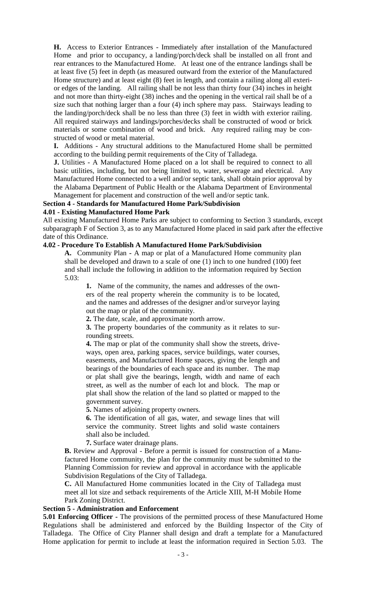**H.** Access to Exterior Entrances - Immediately after installation of the Manufactured Home and prior to occupancy, a landing/porch/deck shall be installed on all front and rear entrances to the Manufactured Home. At least one of the entrance landings shall be at least five (5) feet in depth (as measured outward from the exterior of the Manufactured Home structure) and at least eight (8) feet in length, and contain a railing along all exterior edges of the landing. All railing shall be not less than thirty four (34) inches in height and not more than thirty-eight (38) inches and the opening in the vertical rail shall be of a size such that nothing larger than a four (4) inch sphere may pass. Stairways leading to the landing/porch/deck shall be no less than three (3) feet in width with exterior railing. All required stairways and landings/porches/decks shall be constructed of wood or brick materials or some combination of wood and brick. Any required railing may be constructed of wood or metal material.

**I.** Additions - Any structural additions to the Manufactured Home shall be permitted according to the building permit requirements of the City of Talladega.

**J.** Utilities - A Manufactured Home placed on a lot shall be required to connect to all basic utilities, including, but not being limited to, water, sewerage and electrical. Any Manufactured Home connected to a well and/or septic tank, shall obtain prior approval by the Alabama Department of Public Health or the Alabama Department of Environmental Management for placement and construction of the well and/or septic tank.

### **Section 4 - Standards for Manufactured Home Park/Subdivision**

#### **4.01 - Existing Manufactured Home Park**

All existing Manufactured Home Parks are subject to conforming to Section 3 standards, except subparagraph F of Section 3, as to any Manufactured Home placed in said park after the effective date of this Ordinance.

### **4.02 - Procedure To Establish A Manufactured Home Park/Subdivision**

**A.** Community Plan **-** A map or plat of a Manufactured Home community plan shall be developed and drawn to a scale of one (1) inch to one hundred (100) feet and shall include the following in addition to the information required by Section 5.03:

**1.** Name of the community, the names and addresses of the owners of the real property wherein the community is to be located, and the names and addresses of the designer and/or surveyor laying out the map or plat of the community.

**2.** The date, scale, and approximate north arrow.

**3.** The property boundaries of the community as it relates to surrounding streets.

**4.** The map or plat of the community shall show the streets, driveways, open area, parking spaces, service buildings, water courses, easements, and Manufactured Home spaces, giving the length and bearings of the boundaries of each space and its number. The map or plat shall give the bearings, length, width and name of each street, as well as the number of each lot and block. The map or plat shall show the relation of the land so platted or mapped to the government survey.

**5.** Names of adjoining property owners.

**6.** The identification of all gas, water, and sewage lines that will service the community. Street lights and solid waste containers shall also be included.

**7.** Surface water drainage plans.

**B.** Review and Approval - Before a permit is issued for construction of a Manufactured Home community, the plan for the community must be submitted to the Planning Commission for review and approval in accordance with the applicable Subdivision Regulations of the City of Talladega.

**C.** All Manufactured Home communities located in the City of Talladega must meet all lot size and setback requirements of the Article XIII, M-H Mobile Home Park Zoning District.

# **Section 5 - Administration and Enforcement**

**5.01 Enforcing Officer -** The provisions of the permitted process of these Manufactured Home Regulations shall be administered and enforced by the Building Inspector of the City of Talladega. The Office of City Planner shall design and draft a template for a Manufactured Home application for permit to include at least the information required in Section 5.03. The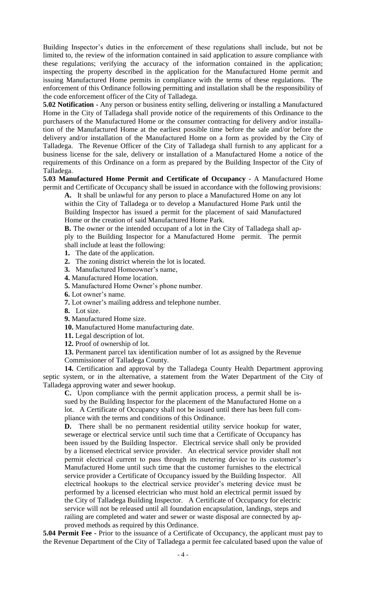Building Inspector's duties in the enforcement of these regulations shall include, but not be limited to, the review of the information contained in said application to assure compliance with these regulations; verifying the accuracy of the information contained in the application; inspecting the property described in the application for the Manufactured Home permit and issuing Manufactured Home permits in compliance with the terms of these regulations. The enforcement of this Ordinance following permitting and installation shall be the responsibility of the code enforcement officer of the City of Talladega.

**5.02 Notification -** Any person or business entity selling, delivering or installing a Manufactured Home in the City of Talladega shall provide notice of the requirements of this Ordinance to the purchasers of the Manufactured Home or the consumer contracting for delivery and/or installation of the Manufactured Home at the earliest possible time before the sale and/or before the delivery and/or installation of the Manufactured Home on a form as provided by the City of Talladega. The Revenue Officer of the City of Talladega shall furnish to any applicant for a business license for the sale, delivery or installation of a Manufactured Home a notice of the requirements of this Ordinance on a form as prepared by the Building Inspector of the City of Talladega.

**5.03 Manufactured Home Permit and Certificate of Occupancy** - A Manufactured Home permit and Certificate of Occupancy shall be issued in accordance with the following provisions:

**A.** It shall be unlawful for any person to place a Manufactured Home on any lot within the City of Talladega or to develop a Manufactured Home Park until the Building Inspector has issued a permit for the placement of said Manufactured Home or the creation of said Manufactured Home Park.

**B.** The owner or the intended occupant of a lot in the City of Talladega shall apply to the Building Inspector for a Manufactured Home permit. The permit shall include at least the following:

- **1.** The date of the application.
- **2.** The zoning district wherein the lot is located.
- **3.** Manufactured Homeowner's name,
- **4.** Manufactured Home location.
- **5.** Manufactured Home Owner's phone number.
- **6.** Lot owner's name.
- **7.** Lot owner's mailing address and telephone number.
- **8.** Lot size.
- **9.** Manufactured Home size.
- **10.** Manufactured Home manufacturing date.
- **11.** Legal description of lot.
- **12.** Proof of ownership of lot.

**13.** Permanent parcel tax identification number of lot as assigned by the Revenue Commissioner of Talladega County.

**14.** Certification and approval by the Talladega County Health Department approving septic system, or in the alternative, a statement from the Water Department of the City of Talladega approving water and sewer hookup.

**C.** Upon compliance with the permit application process, a permit shall be issued by the Building Inspector for the placement of the Manufactured Home on a lot. A Certificate of Occupancy shall not be issued until there has been full compliance with the terms and conditions of this Ordinance.

**D.** There shall be no permanent residential utility service hookup for water, sewerage or electrical service until such time that a Certificate of Occupancy has been issued by the Building Inspector. Electrical service shall only be provided by a licensed electrical service provider. An electrical service provider shall not permit electrical current to pass through its metering device to its customer's Manufactured Home until such time that the customer furnishes to the electrical service provider a Certificate of Occupancy issued by the Building Inspector. All electrical hookups to the electrical service provider's metering device must be performed by a licensed electrician who must hold an electrical permit issued by the City of Talladega Building Inspector. A Certificate of Occupancy for electric service will not be released until all foundation encapsulation, landings, steps and railing are completed and water and sewer or waste disposal are connected by approved methods as required by this Ordinance.

**5.04 Permit Fee -** Prior to the issuance of a Certificate of Occupancy, the applicant must pay to the Revenue Department of the City of Talladega a permit fee calculated based upon the value of